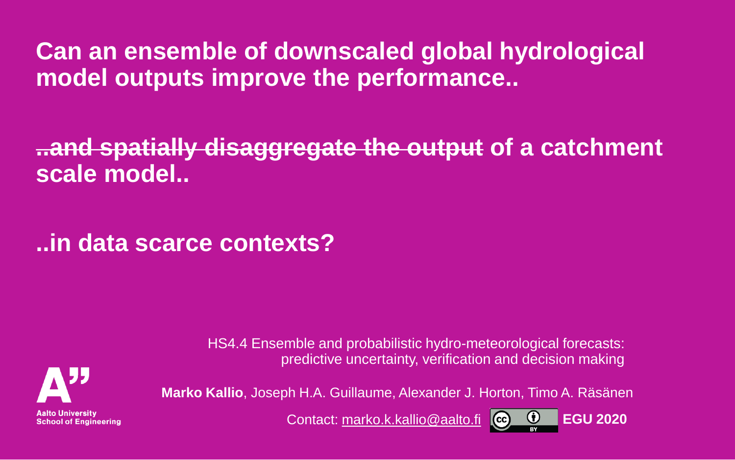**Can an ensemble of downscaled global hydrological model outputs improve the performance..**

**..and spatially disaggregate the output of a catchment scale model..**

**..in data scarce contexts?** 

HS4.4 Ensemble and probabilistic hydro-meteorological forecasts: predictive uncertainty, verification and decision making



**Aalto University School of Engineering** 

Contact: [marko.k.kallio@aalto.fi](mailto:marko.k.kallio@aalto.fi) **EGU 2020**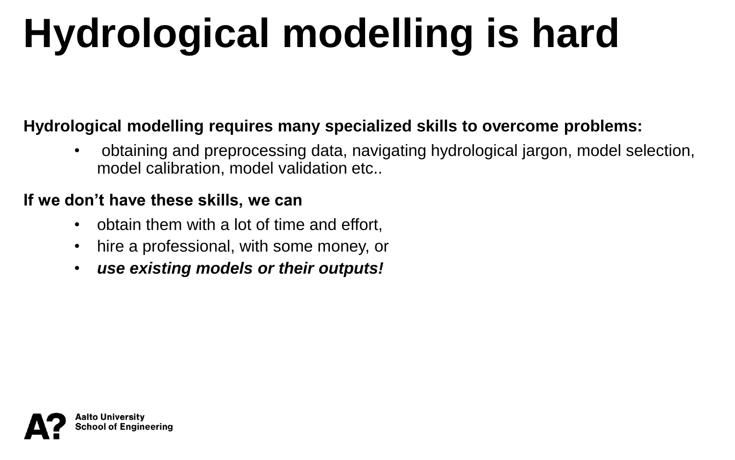# **Hydrological modelling is hard**

#### **Hydrological modelling requires many specialized skills to overcome problems:**

• obtaining and preprocessing data, navigating hydrological jargon, model selection, model calibration, model validation etc..

#### **If we don't have these skills, we can**

- obtain them with a lot of time and effort,
- hire a professional, with some money, or
- *use existing models or their outputs!*

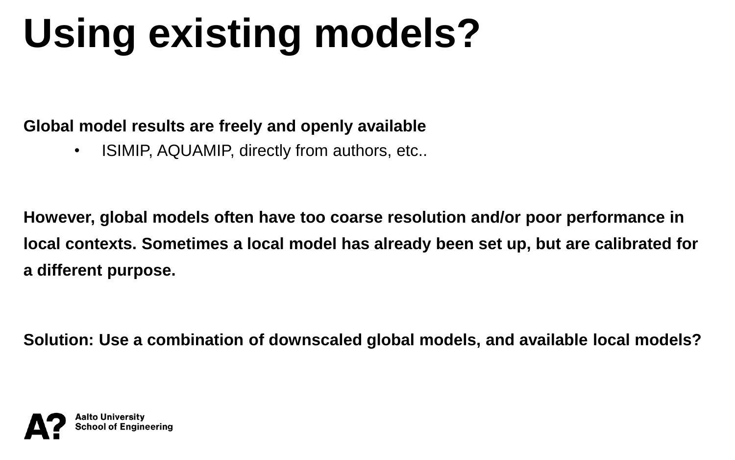# **Using existing models?**

**Global model results are freely and openly available**

• ISIMIP, AQUAMIP, directly from authors, etc..

**However, global models often have too coarse resolution and/or poor performance in local contexts. Sometimes a local model has already been set up, but are calibrated for a different purpose.**

**Solution: Use a combination of downscaled global models, and available local models?**

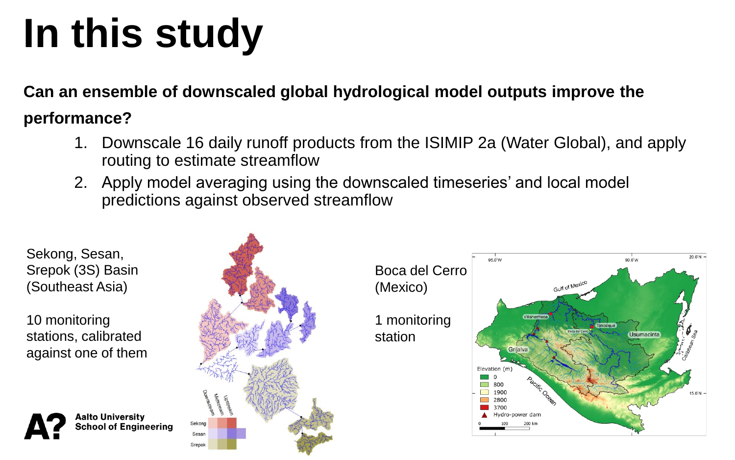# **In this study**

**Can an ensemble of downscaled global hydrological model outputs improve the** 

#### **performance?**

- 1. Downscale 16 daily runoff products from the ISIMIP 2a (Water Global), and apply routing to estimate streamflow
- 2. Apply model averaging using the downscaled timeseries' and local model predictions against observed streamflow

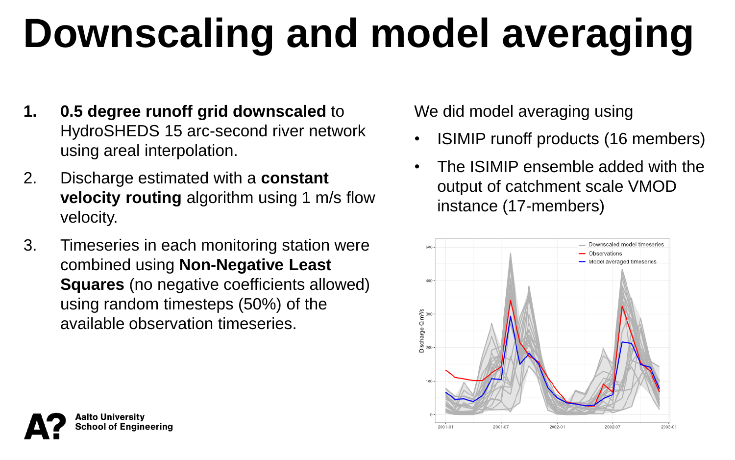# **Downscaling and model averaging**

- **1. 0.5 degree runoff grid downscaled** to HydroSHEDS 15 arc-second river network using areal interpolation.
- 2. Discharge estimated with a **constant velocity routing** algorithm using 1 m/s flow velocity.
- 3. Timeseries in each monitoring station were combined using **Non-Negative Least Squares** (no negative coefficients allowed) using random timesteps (50%) of the available observation timeseries.

We did model averaging using

- ISIMIP runoff products (16 members)
- The ISIMIP ensemble added with the output of catchment scale VMOD instance (17-members)



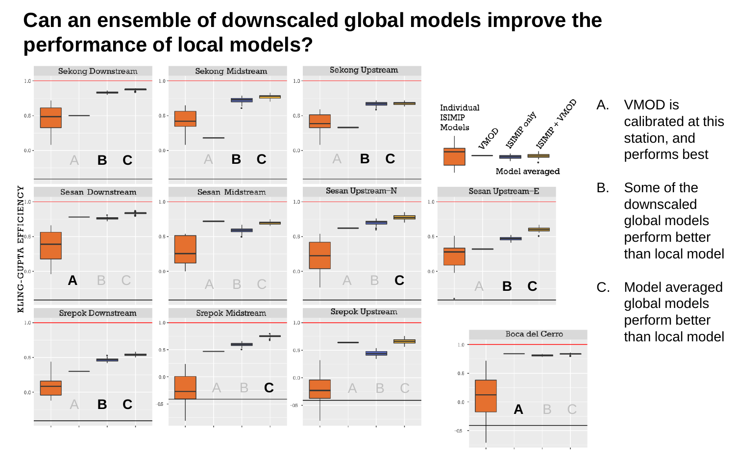### **Can an ensemble of downscaled global models improve the performance of local models?**



- A. VMOD is calibrated at this station, and performs best
- B. Some of the downscaled global models perform better than local model
- C. Model averaged global models perform better than local model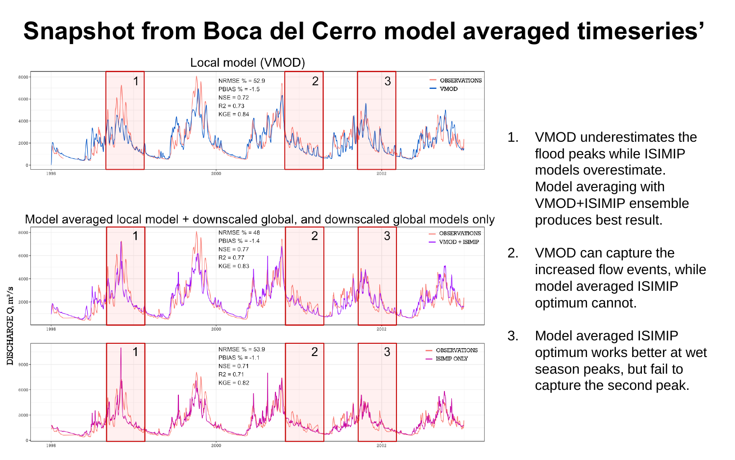### **Snapshot from Boca del Cerro model averaged timeseries'**



Model averaged local model + downscaled global, and downscaled global models only



- 1. VMOD underestimates the flood peaks while ISIMIP models overestimate. Model averaging with VMOD+ISIMIP ensemble produces best result.
- 2. VMOD can capture the increased flow events, while model averaged ISIMIP optimum cannot.
- 3. Model averaged ISIMIP optimum works better at wet season peaks, but fail to capture the second peak.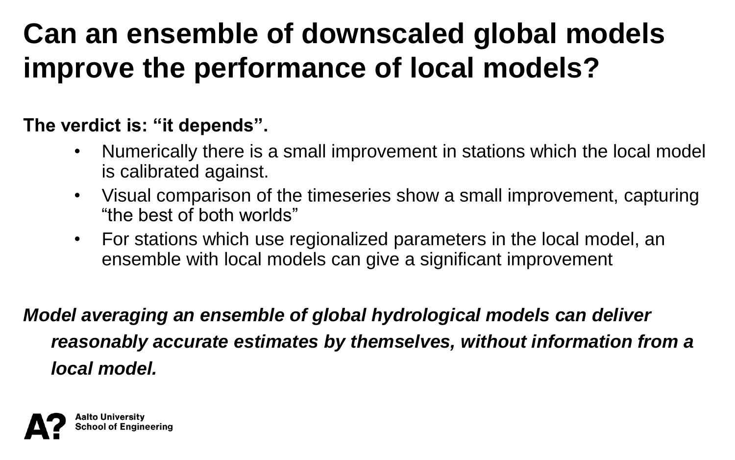## **Can an ensemble of downscaled global models improve the performance of local models?**

#### **The verdict is: "it depends".**

- Numerically there is a small improvement in stations which the local model is calibrated against.
- Visual comparison of the timeseries show a small improvement, capturing "the best of both worlds"
- For stations which use regionalized parameters in the local model, an ensemble with local models can give a significant improvement

*Model averaging an ensemble of global hydrological models can deliver reasonably accurate estimates by themselves, without information from a local model.*

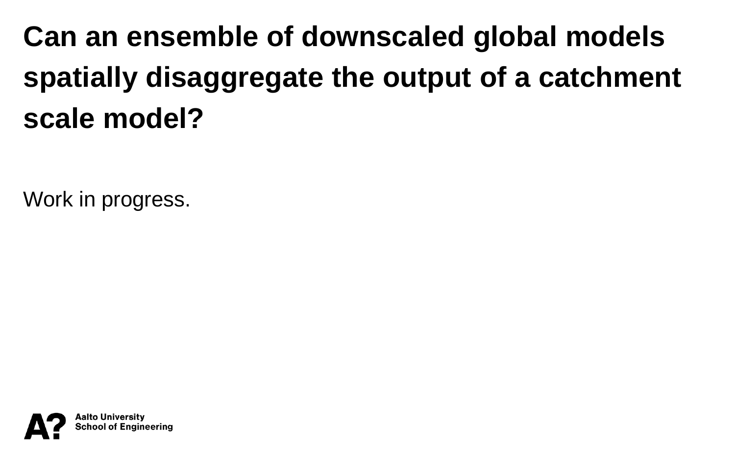## **Can an ensemble of downscaled global models spatially disaggregate the output of a catchment scale model?**

Work in progress.